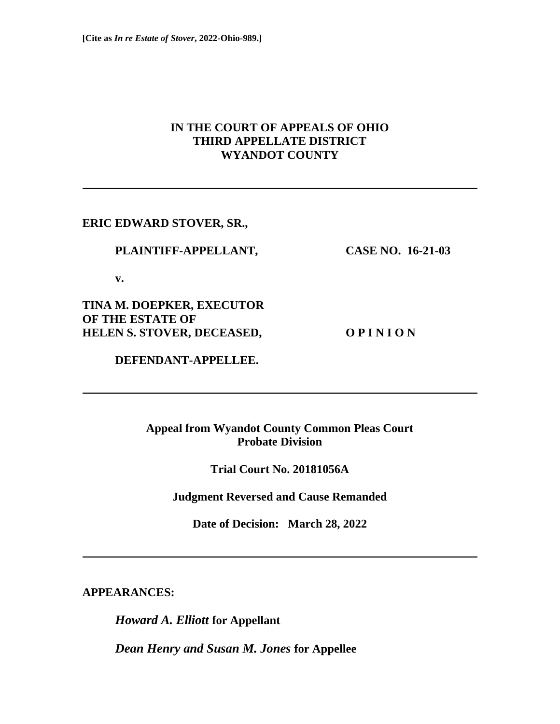# **IN THE COURT OF APPEALS OF OHIO THIRD APPELLATE DISTRICT WYANDOT COUNTY**

**ERIC EDWARD STOVER, SR.,**

## **PLAINTIFF-APPELLANT, CASE NO. 16-21-03**

 **v.**

**TINA M. DOEPKER, EXECUTOR OF THE ESTATE OF HELEN S. STOVER, DECEASED, O P I N I O N**

 **DEFENDANT-APPELLEE.**

**Appeal from Wyandot County Common Pleas Court Probate Division**

**Trial Court No. 20181056A**

**Judgment Reversed and Cause Remanded**

**Date of Decision: March 28, 2022** 

**APPEARANCES:**

*Howard A. Elliott* **for Appellant**

*Dean Henry and Susan M. Jones* **for Appellee**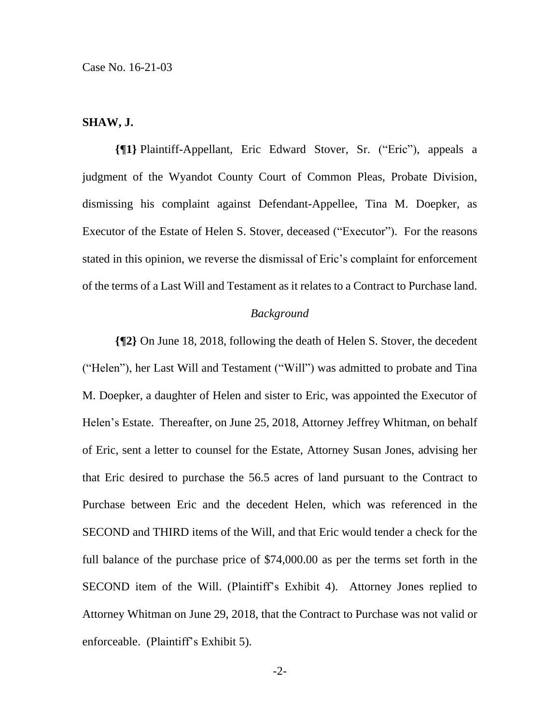## **SHAW, J.**

**{¶1}** Plaintiff-Appellant, Eric Edward Stover, Sr. ("Eric"), appeals a judgment of the Wyandot County Court of Common Pleas, Probate Division, dismissing his complaint against Defendant-Appellee, Tina M. Doepker, as Executor of the Estate of Helen S. Stover, deceased ("Executor"). For the reasons stated in this opinion, we reverse the dismissal of Eric's complaint for enforcement of the terms of a Last Will and Testament as it relates to a Contract to Purchase land.

#### *Background*

**{¶2}** On June 18, 2018, following the death of Helen S. Stover, the decedent ("Helen"), her Last Will and Testament ("Will") was admitted to probate and Tina M. Doepker, a daughter of Helen and sister to Eric, was appointed the Executor of Helen's Estate. Thereafter, on June 25, 2018, Attorney Jeffrey Whitman, on behalf of Eric, sent a letter to counsel for the Estate, Attorney Susan Jones, advising her that Eric desired to purchase the 56.5 acres of land pursuant to the Contract to Purchase between Eric and the decedent Helen, which was referenced in the SECOND and THIRD items of the Will, and that Eric would tender a check for the full balance of the purchase price of \$74,000.00 as per the terms set forth in the SECOND item of the Will. (Plaintiff's Exhibit 4). Attorney Jones replied to Attorney Whitman on June 29, 2018, that the Contract to Purchase was not valid or enforceable. (Plaintiff's Exhibit 5).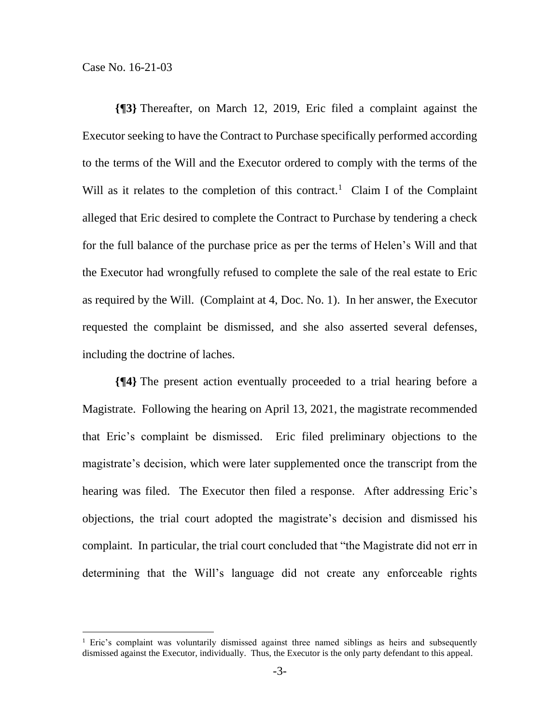**{¶3}** Thereafter, on March 12, 2019, Eric filed a complaint against the Executor seeking to have the Contract to Purchase specifically performed according to the terms of the Will and the Executor ordered to comply with the terms of the Will as it relates to the completion of this contract.<sup>1</sup> Claim I of the Complaint alleged that Eric desired to complete the Contract to Purchase by tendering a check for the full balance of the purchase price as per the terms of Helen's Will and that the Executor had wrongfully refused to complete the sale of the real estate to Eric as required by the Will. (Complaint at 4, Doc. No. 1). In her answer, the Executor requested the complaint be dismissed, and she also asserted several defenses, including the doctrine of laches.

**{¶4}** The present action eventually proceeded to a trial hearing before a Magistrate. Following the hearing on April 13, 2021, the magistrate recommended that Eric's complaint be dismissed. Eric filed preliminary objections to the magistrate's decision, which were later supplemented once the transcript from the hearing was filed. The Executor then filed a response. After addressing Eric's objections, the trial court adopted the magistrate's decision and dismissed his complaint. In particular, the trial court concluded that "the Magistrate did not err in determining that the Will's language did not create any enforceable rights

<sup>&</sup>lt;sup>1</sup> Eric's complaint was voluntarily dismissed against three named siblings as heirs and subsequently dismissed against the Executor, individually. Thus, the Executor is the only party defendant to this appeal.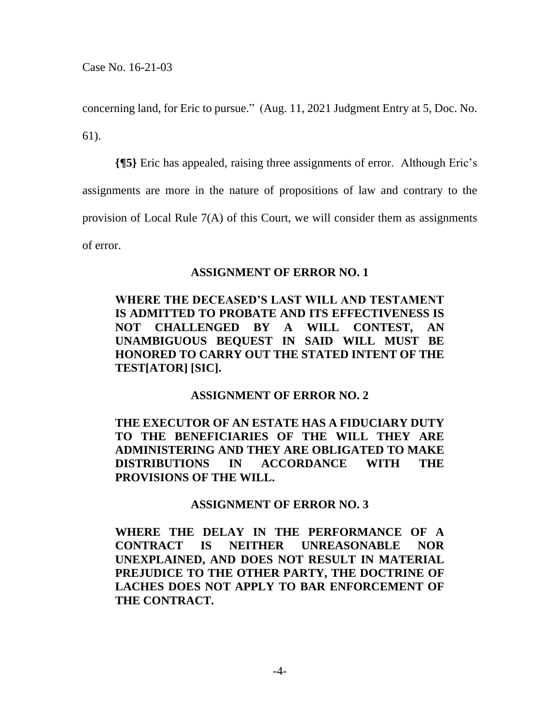concerning land, for Eric to pursue." (Aug. 11, 2021 Judgment Entry at 5, Doc. No. 61).

**{¶5}** Eric has appealed, raising three assignments of error. Although Eric's assignments are more in the nature of propositions of law and contrary to the provision of Local Rule 7(A) of this Court, we will consider them as assignments of error.

## **ASSIGNMENT OF ERROR NO. 1**

# **WHERE THE DECEASED'S LAST WILL AND TESTAMENT IS ADMITTED TO PROBATE AND ITS EFFECTIVENESS IS NOT CHALLENGED BY A WILL CONTEST, AN UNAMBIGUOUS BEQUEST IN SAID WILL MUST BE HONORED TO CARRY OUT THE STATED INTENT OF THE TEST[ATOR] [SIC].**

## **ASSIGNMENT OF ERROR NO. 2**

**THE EXECUTOR OF AN ESTATE HAS A FIDUCIARY DUTY TO THE BENEFICIARIES OF THE WILL THEY ARE ADMINISTERING AND THEY ARE OBLIGATED TO MAKE DISTRIBUTIONS IN ACCORDANCE WITH THE PROVISIONS OF THE WILL.**

## **ASSIGNMENT OF ERROR NO. 3**

**WHERE THE DELAY IN THE PERFORMANCE OF A CONTRACT IS NEITHER UNREASONABLE NOR UNEXPLAINED, AND DOES NOT RESULT IN MATERIAL PREJUDICE TO THE OTHER PARTY, THE DOCTRINE OF LACHES DOES NOT APPLY TO BAR ENFORCEMENT OF THE CONTRACT.**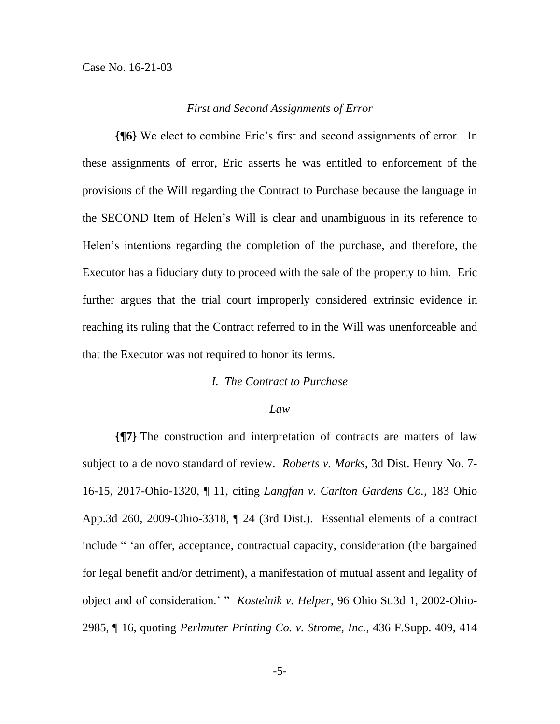#### *First and Second Assignments of Error*

**{¶6}** We elect to combine Eric's first and second assignments of error. In these assignments of error, Eric asserts he was entitled to enforcement of the provisions of the Will regarding the Contract to Purchase because the language in the SECOND Item of Helen's Will is clear and unambiguous in its reference to Helen's intentions regarding the completion of the purchase, and therefore, the Executor has a fiduciary duty to proceed with the sale of the property to him. Eric further argues that the trial court improperly considered extrinsic evidence in reaching its ruling that the Contract referred to in the Will was unenforceable and that the Executor was not required to honor its terms.

#### *I. The Contract to Purchase*

## *Law*

**{¶7}** The construction and interpretation of contracts are matters of law subject to a de novo standard of review. *Roberts v. Marks*, 3d Dist. Henry No. 7- 16-15, 2017-Ohio-1320, ¶ 11, citing *Langfan v. Carlton Gardens Co.*, 183 Ohio App.3d 260, 2009-Ohio-3318, ¶ 24 (3rd Dist.). Essential elements of a contract include " 'an offer, acceptance, contractual capacity, consideration (the bargained for legal benefit and/or detriment), a manifestation of mutual assent and legality of object and of consideration.' " *Kostelnik v. Helper*, 96 Ohio St.3d 1, 2002-Ohio-2985, ¶ 16, quoting *Perlmuter Printing Co. v. Strome, Inc.*, 436 F.Supp. 409, 414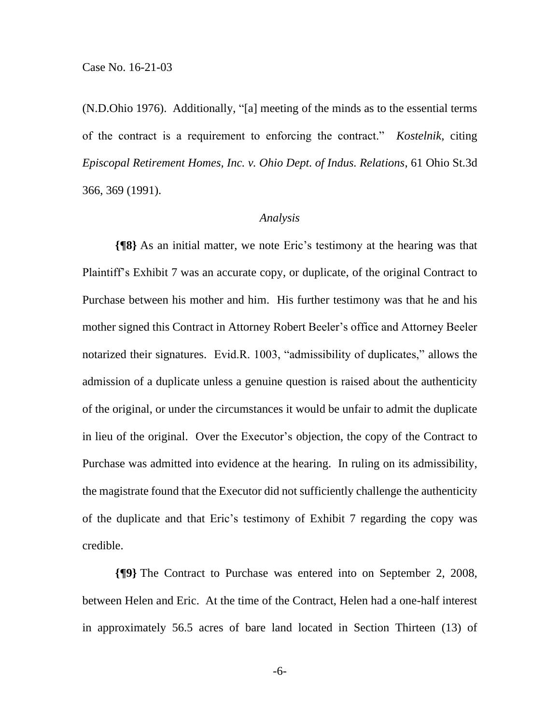(N.D.Ohio 1976). Additionally, "[a] meeting of the minds as to the essential terms of the contract is a requirement to enforcing the contract." *Kostelnik,* citing *Episcopal Retirement Homes, Inc. v. Ohio Dept. of Indus. Relations*, 61 Ohio St.3d 366, 369 (1991).

## *Analysis*

**{¶8}** As an initial matter, we note Eric's testimony at the hearing was that Plaintiff's Exhibit 7 was an accurate copy, or duplicate, of the original Contract to Purchase between his mother and him. His further testimony was that he and his mother signed this Contract in Attorney Robert Beeler's office and Attorney Beeler notarized their signatures. Evid.R. 1003, "admissibility of duplicates," allows the admission of a duplicate unless a genuine question is raised about the authenticity of the original, or under the circumstances it would be unfair to admit the duplicate in lieu of the original. Over the Executor's objection, the copy of the Contract to Purchase was admitted into evidence at the hearing. In ruling on its admissibility, the magistrate found that the Executor did not sufficiently challenge the authenticity of the duplicate and that Eric's testimony of Exhibit 7 regarding the copy was credible.

**{¶9}** The Contract to Purchase was entered into on September 2, 2008, between Helen and Eric. At the time of the Contract, Helen had a one-half interest in approximately 56.5 acres of bare land located in Section Thirteen (13) of

-6-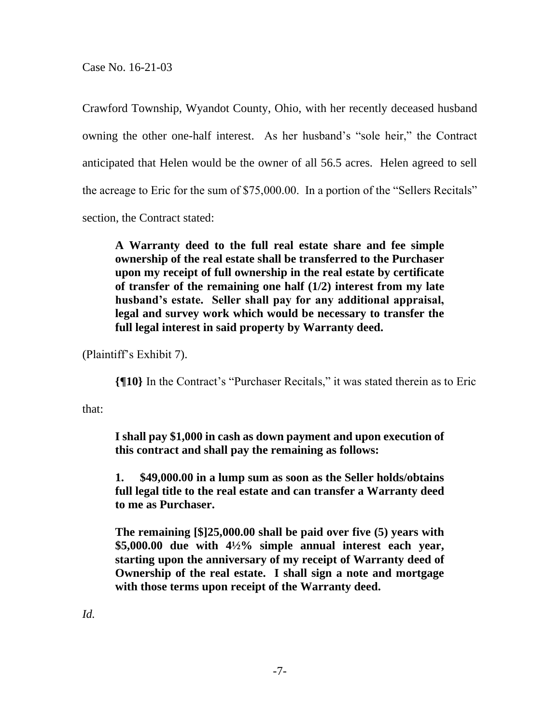Case No. 16-21-03

Crawford Township, Wyandot County, Ohio, with her recently deceased husband owning the other one-half interest. As her husband's "sole heir," the Contract anticipated that Helen would be the owner of all 56.5 acres. Helen agreed to sell the acreage to Eric for the sum of \$75,000.00. In a portion of the "Sellers Recitals" section, the Contract stated:

**A Warranty deed to the full real estate share and fee simple ownership of the real estate shall be transferred to the Purchaser upon my receipt of full ownership in the real estate by certificate of transfer of the remaining one half (1/2) interest from my late husband's estate. Seller shall pay for any additional appraisal, legal and survey work which would be necessary to transfer the full legal interest in said property by Warranty deed.**

(Plaintiff's Exhibit 7).

**{¶10}** In the Contract's "Purchaser Recitals," it was stated therein as to Eric

that:

**I shall pay \$1,000 in cash as down payment and upon execution of this contract and shall pay the remaining as follows:**

**1. \$49,000.00 in a lump sum as soon as the Seller holds/obtains full legal title to the real estate and can transfer a Warranty deed to me as Purchaser.**

**The remaining [\$]25,000.00 shall be paid over five (5) years with \$5,000.00 due with 4½% simple annual interest each year, starting upon the anniversary of my receipt of Warranty deed of Ownership of the real estate. I shall sign a note and mortgage with those terms upon receipt of the Warranty deed.**

*Id.*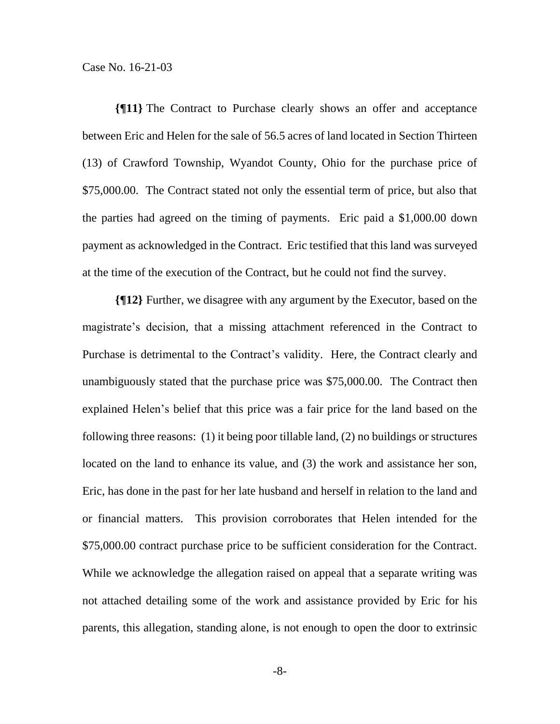Case No. 16-21-03

**{¶11}** The Contract to Purchase clearly shows an offer and acceptance between Eric and Helen for the sale of 56.5 acres of land located in Section Thirteen (13) of Crawford Township, Wyandot County, Ohio for the purchase price of \$75,000.00. The Contract stated not only the essential term of price, but also that the parties had agreed on the timing of payments. Eric paid a \$1,000.00 down payment as acknowledged in the Contract. Eric testified that this land was surveyed at the time of the execution of the Contract, but he could not find the survey.

**{¶12}** Further, we disagree with any argument by the Executor, based on the magistrate's decision, that a missing attachment referenced in the Contract to Purchase is detrimental to the Contract's validity. Here, the Contract clearly and unambiguously stated that the purchase price was \$75,000.00. The Contract then explained Helen's belief that this price was a fair price for the land based on the following three reasons: (1) it being poor tillable land, (2) no buildings or structures located on the land to enhance its value, and (3) the work and assistance her son, Eric, has done in the past for her late husband and herself in relation to the land and or financial matters. This provision corroborates that Helen intended for the \$75,000.00 contract purchase price to be sufficient consideration for the Contract. While we acknowledge the allegation raised on appeal that a separate writing was not attached detailing some of the work and assistance provided by Eric for his parents, this allegation, standing alone, is not enough to open the door to extrinsic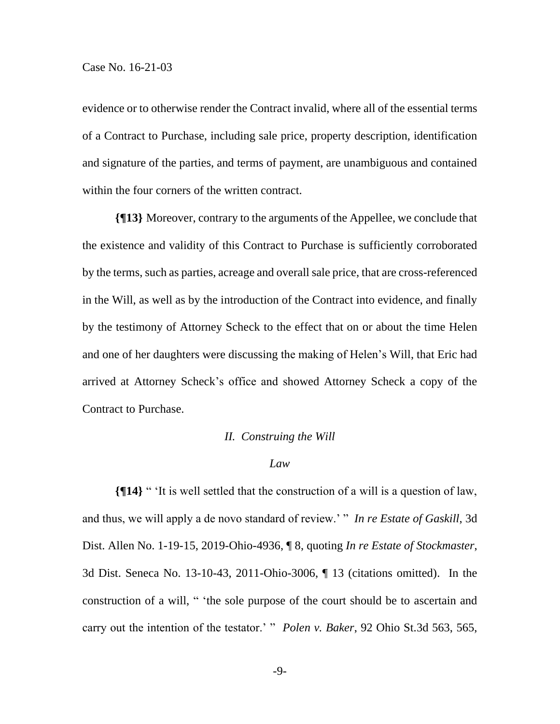evidence or to otherwise render the Contract invalid, where all of the essential terms of a Contract to Purchase, including sale price, property description, identification and signature of the parties, and terms of payment, are unambiguous and contained within the four corners of the written contract.

**{¶13}** Moreover, contrary to the arguments of the Appellee, we conclude that the existence and validity of this Contract to Purchase is sufficiently corroborated by the terms, such as parties, acreage and overall sale price, that are cross-referenced in the Will, as well as by the introduction of the Contract into evidence, and finally by the testimony of Attorney Scheck to the effect that on or about the time Helen and one of her daughters were discussing the making of Helen's Will, that Eric had arrived at Attorney Scheck's office and showed Attorney Scheck a copy of the Contract to Purchase.

#### *II. Construing the Will*

#### *Law*

**{¶14}** " 'It is well settled that the construction of a will is a question of law, and thus, we will apply a de novo standard of review.' " *In re Estate of Gaskill*, 3d Dist. Allen No. 1-19-15, 2019-Ohio-4936, ¶ 8, quoting *In re Estate of Stockmaster*, 3d Dist. Seneca No. 13-10-43, 2011-Ohio-3006, ¶ 13 (citations omitted). In the construction of a will, " 'the sole purpose of the court should be to ascertain and carry out the intention of the testator.' " *Polen v. Baker*, 92 Ohio St.3d 563, 565,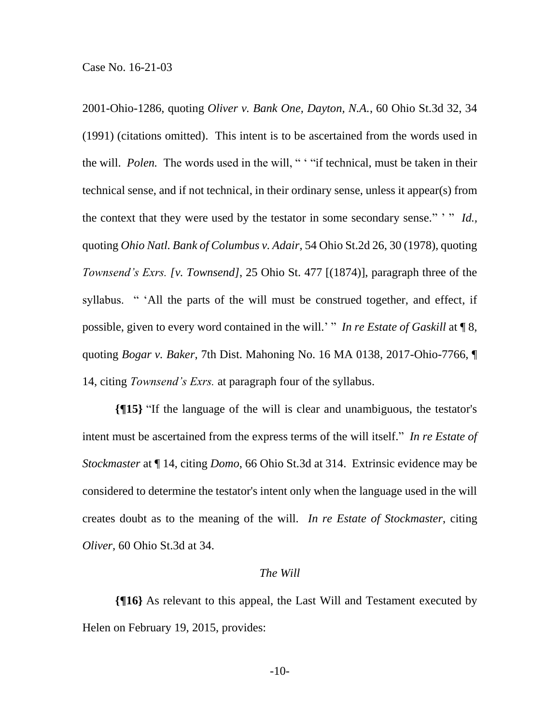2001-Ohio-1286, quoting *Oliver v. Bank One, Dayton, N.A.*, 60 Ohio St.3d 32, 34 (1991) (citations omitted). This intent is to be ascertained from the words used in the will. *Polen.* The words used in the will, " ' "if technical, must be taken in their technical sense, and if not technical, in their ordinary sense, unless it appear(s) from the context that they were used by the testator in some secondary sense." ' " *Id.,* quoting *Ohio Natl. Bank of Columbus v. Adair*, 54 Ohio St.2d 26, 30 (1978), quoting *Townsend's Exrs. [v. Townsend]*, 25 Ohio St. 477 [(1874)], paragraph three of the syllabus. " 'All the parts of the will must be construed together, and effect, if possible, given to every word contained in the will.' " *In re Estate of Gaskill* at  $\P$  8, quoting *Bogar v. Baker*, 7th Dist. Mahoning No. 16 MA 0138, 2017-Ohio-7766, ¶ 14, citing *Townsend's Exrs.* at paragraph four of the syllabus.

**{¶15}** "If the language of the will is clear and unambiguous, the testator's intent must be ascertained from the express terms of the will itself." *In re Estate of Stockmaster* at ¶ 14, citing *Domo*, 66 Ohio St.3d at 314. Extrinsic evidence may be considered to determine the testator's intent only when the language used in the will creates doubt as to the meaning of the will. *In re Estate of Stockmaster*, citing *Oliver,* 60 Ohio St.3d at 34.

#### *The Will*

**{¶16}** As relevant to this appeal, the Last Will and Testament executed by Helen on February 19, 2015, provides: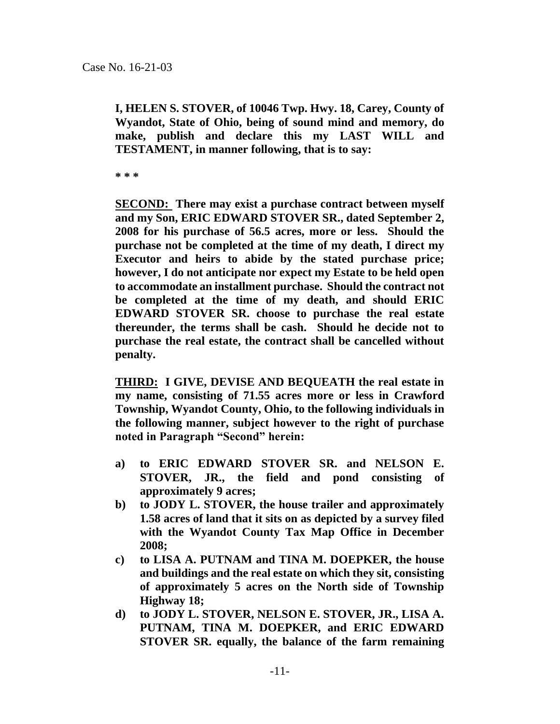**I, HELEN S. STOVER, of 10046 Twp. Hwy. 18, Carey, County of Wyandot, State of Ohio, being of sound mind and memory, do make, publish and declare this my LAST WILL and TESTAMENT, in manner following, that is to say:**

**\* \* \***

**SECOND: There may exist a purchase contract between myself and my Son, ERIC EDWARD STOVER SR., dated September 2, 2008 for his purchase of 56.5 acres, more or less. Should the purchase not be completed at the time of my death, I direct my Executor and heirs to abide by the stated purchase price; however, I do not anticipate nor expect my Estate to be held open to accommodate an installment purchase. Should the contract not be completed at the time of my death, and should ERIC EDWARD STOVER SR. choose to purchase the real estate thereunder, the terms shall be cash. Should he decide not to purchase the real estate, the contract shall be cancelled without penalty.**

**THIRD: I GIVE, DEVISE AND BEQUEATH the real estate in my name, consisting of 71.55 acres more or less in Crawford Township, Wyandot County, Ohio, to the following individuals in the following manner, subject however to the right of purchase noted in Paragraph "Second" herein:**

- **a) to ERIC EDWARD STOVER SR. and NELSON E. STOVER, JR., the field and pond consisting of approximately 9 acres;**
- **b) to JODY L. STOVER, the house trailer and approximately 1.58 acres of land that it sits on as depicted by a survey filed with the Wyandot County Tax Map Office in December 2008;**
- **c) to LISA A. PUTNAM and TINA M. DOEPKER, the house and buildings and the real estate on which they sit, consisting of approximately 5 acres on the North side of Township Highway 18;**
- **d) to JODY L. STOVER, NELSON E. STOVER, JR., LISA A. PUTNAM, TINA M. DOEPKER, and ERIC EDWARD STOVER SR. equally, the balance of the farm remaining**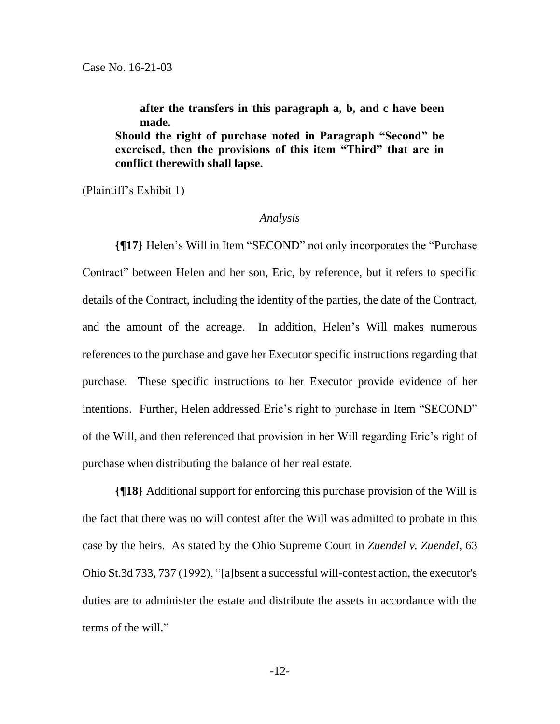**after the transfers in this paragraph a, b, and c have been made. Should the right of purchase noted in Paragraph "Second" be exercised, then the provisions of this item "Third" that are in conflict therewith shall lapse.**

(Plaintiff's Exhibit 1)

#### *Analysis*

**{¶17}** Helen's Will in Item "SECOND" not only incorporates the "Purchase Contract" between Helen and her son, Eric, by reference, but it refers to specific details of the Contract, including the identity of the parties, the date of the Contract, and the amount of the acreage. In addition, Helen's Will makes numerous references to the purchase and gave her Executor specific instructions regarding that purchase. These specific instructions to her Executor provide evidence of her intentions. Further, Helen addressed Eric's right to purchase in Item "SECOND" of the Will, and then referenced that provision in her Will regarding Eric's right of purchase when distributing the balance of her real estate.

**{¶18}** Additional support for enforcing this purchase provision of the Will is the fact that there was no will contest after the Will was admitted to probate in this case by the heirs. As stated by the Ohio Supreme Court in *Zuendel v. Zuendel*, 63 Ohio St.3d 733, 737 (1992), "[a]bsent a successful will-contest action, the executor's duties are to administer the estate and distribute the assets in accordance with the terms of the will."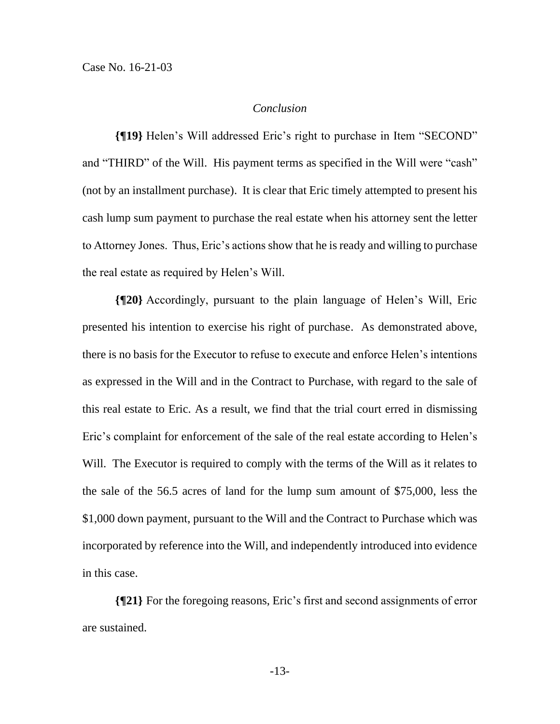## *Conclusion*

**{¶19}** Helen's Will addressed Eric's right to purchase in Item "SECOND" and "THIRD" of the Will. His payment terms as specified in the Will were "cash" (not by an installment purchase). It is clear that Eric timely attempted to present his cash lump sum payment to purchase the real estate when his attorney sent the letter to Attorney Jones. Thus, Eric's actions show that he is ready and willing to purchase the real estate as required by Helen's Will.

**{¶20}** Accordingly, pursuant to the plain language of Helen's Will, Eric presented his intention to exercise his right of purchase. As demonstrated above, there is no basis for the Executor to refuse to execute and enforce Helen's intentions as expressed in the Will and in the Contract to Purchase, with regard to the sale of this real estate to Eric. As a result, we find that the trial court erred in dismissing Eric's complaint for enforcement of the sale of the real estate according to Helen's Will. The Executor is required to comply with the terms of the Will as it relates to the sale of the 56.5 acres of land for the lump sum amount of \$75,000, less the \$1,000 down payment, pursuant to the Will and the Contract to Purchase which was incorporated by reference into the Will, and independently introduced into evidence in this case.

**{¶21}** For the foregoing reasons, Eric's first and second assignments of error are sustained.